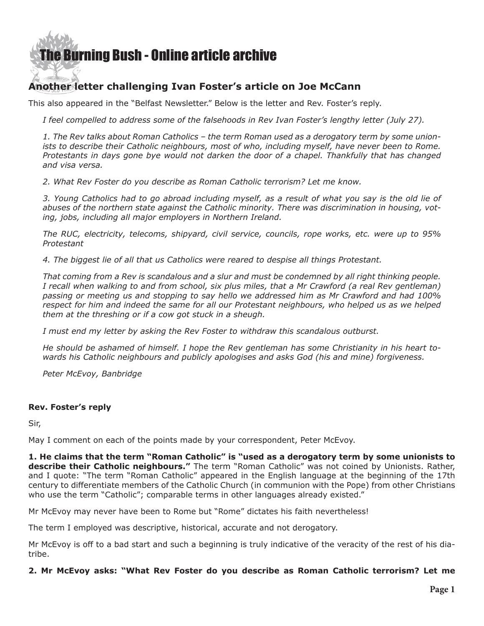# [The Burning Bush - Online article archive](http://www.ivanfoster.net)

# **Another letter challenging Ivan Foster's article on Joe McCann**

This also appeared in the "Belfast Newsletter." Below is the letter and Rev. Foster's reply.

*I feel compelled to address some of the falsehoods in [Rev Ivan Foster's lengthy letter](http://www.newsletter.co.uk/news/a-northern-ireland-with-unrepentant-murderers-in-control-is-nothing-to-give-thanks-for-1-7497676) (July 27).*

*1. The Rev talks about Roman Catholics – the term Roman used as a derogatory term by some unionists to describe their Catholic neighbours, most of who, including myself, have never been to Rome. Protestants in days gone bye would not darken the door of a chapel. Thankfully that has changed and visa versa.* 

*2. What Rev Foster do you describe as Roman Catholic terrorism? Let me know.* 

*3. Young Catholics had to go abroad including myself, as a result of what you say is the old lie of abuses of the northern state against the Catholic minority. There was discrimination in housing, voting, jobs, including all major employers in Northern Ireland.* 

*The RUC, electricity, telecoms, shipyard, civil service, councils, rope works, etc. were up to 95% Protestant* 

*4. The biggest lie of all that us Catholics were reared to despise all things Protestant.* 

*That coming from a Rev is scandalous and a slur and must be condemned by all right thinking people. I recall when walking to and from school, six plus miles, that a Mr Crawford (a real Rev gentleman) passing or meeting us and stopping to say hello we addressed him as Mr Crawford and had 100% respect for him and indeed the same for all our Protestant neighbours, who helped us as we helped them at the threshing or if a cow got stuck in a sheugh.*

*I must end my letter by asking the Rev Foster to withdraw this scandalous outburst.*

*He should be ashamed of himself. I hope the Rev gentleman has some Christianity in his heart towards his Catholic neighbours and publicly apologises and asks God (his and mine) forgiveness.*

*Peter McEvoy, Banbridge* 

#### **Rev. Foster's reply**

Sir,

May I comment on each of the points made by your correspondent, Peter McEvoy.

**1. He claims that the term "Roman Catholic" is "used as a derogatory term by some unionists to describe their Catholic neighbours."** The term "Roman Catholic" was not coined by Unionists. Rather, and I quote: "The term "Roman Catholic" appeared in the English language at the beginning of the 17th century to differentiate members of the Catholic Church (in communion with the Pope) from other Christians who use the term "Catholic"; comparable terms in other languages already existed."

Mr McEvoy may never have been to Rome but "Rome" dictates his faith nevertheless!

The term I employed was descriptive, historical, accurate and not derogatory.

Mr McEvoy is off to a bad start and such a beginning is truly indicative of the veracity of the rest of his diatribe.

**2. Mr McEvoy asks: "What Rev Foster do you describe as Roman Catholic terrorism? Let me**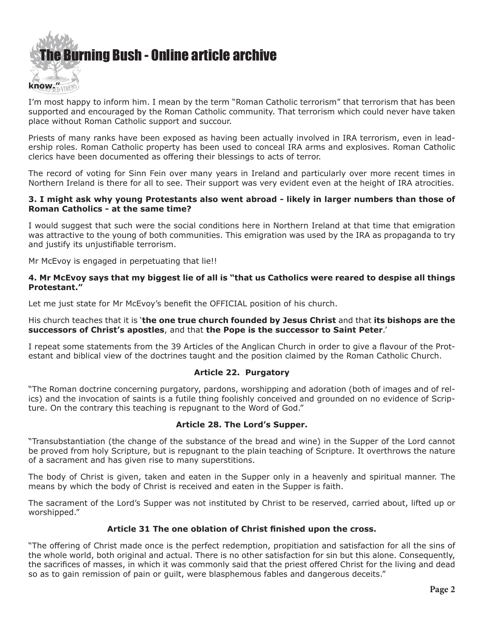

I'm most happy to inform him. I mean by the term "Roman Catholic terrorism" that terrorism that has been supported and encouraged by the Roman Catholic community. That terrorism which could never have taken place without Roman Catholic support and succour.

Priests of many ranks have been exposed as having been actually involved in IRA terrorism, even in leadership roles. Roman Catholic property has been used to conceal IRA arms and explosives. Roman Catholic clerics have been documented as offering their blessings to acts of terror.

The record of voting for Sinn Fein over many years in Ireland and particularly over more recent times in Northern Ireland is there for all to see. Their support was very evident even at the height of IRA atrocities.

#### **3. I might ask why young Protestants also went abroad - likely in larger numbers than those of Roman Catholics - at the same time?**

I would suggest that such were the social conditions here in Northern Ireland at that time that emigration was attractive to the young of both communities. This emigration was used by the IRA as propaganda to try and justify its unjustifiable terrorism.

Mr McEvoy is engaged in perpetuating that lie!!

#### **4. Mr McEvoy says that my biggest lie of all is "that us Catholics were reared to despise all things Protestant."**

Let me just state for Mr McEvoy's benefit the OFFICIAL position of his church.

#### His church teaches that it is '**the one true church founded by Jesus Christ** and that **its bishops are the successors of Christ's apostles**, and that **the Pope is the successor to Saint Peter**.'

I repeat some statements from the 39 Articles of the Anglican Church in order to give a flavour of the Protestant and biblical view of the doctrines taught and the position claimed by the Roman Catholic Church.

## **Article 22. Purgatory**

"The Roman doctrine concerning purgatory, pardons, worshipping and adoration (both of images and of relics) and the invocation of saints is a futile thing foolishly conceived and grounded on no evidence of Scripture. On the contrary this teaching is repugnant to the Word of God."

#### **Article 28. The Lord's Supper.**

"Transubstantiation (the change of the substance of the bread and wine) in the Supper of the Lord cannot be proved from holy Scripture, but is repugnant to the plain teaching of Scripture. It overthrows the nature of a sacrament and has given rise to many superstitions.

The body of Christ is given, taken and eaten in the Supper only in a heavenly and spiritual manner. The means by which the body of Christ is received and eaten in the Supper is faith.

The sacrament of the Lord's Supper was not instituted by Christ to be reserved, carried about, lifted up or worshipped."

## **Article 31 The one oblation of Christ finished upon the cross.**

"The offering of Christ made once is the perfect redemption, propitiation and satisfaction for all the sins of the whole world, both original and actual. There is no other satisfaction for sin but this alone. Consequently, the sacrifices of masses, in which it was commonly said that the priest offered Christ for the living and dead so as to gain remission of pain or guilt, were blasphemous fables and dangerous deceits."